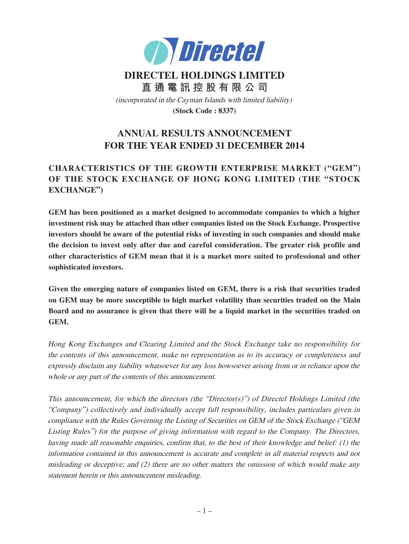

# **DIRECTEL HOLDINGS LIMITED 直 通 電 訊 控 股 有 限 公 司** (incorporated in the Cayman Islands with limited liability) **(Stock Code : 8337)**

# **ANNUAL RESULTS ANNOUNCEMENT FOR THE YEAR ENDED 31 DECEMBER 2014**

# **CHARACTERISTICS OF THE GROWTH ENTERPRISE MARKET ("GEM") OF THE STOCK EXCHANGE OF HONG KONG LIMITED (THE "STOCK EXCHANGE")**

**GEM has been positioned as a market designed to accommodate companies to which a higher investment risk may be attached than other companies listed on the Stock Exchange. Prospective investors should be aware of the potential risks of investing in such companies and should make the decision to invest only after due and careful consideration. The greater risk profile and other characteristics of GEM mean that it is a market more suited to professional and other sophisticated investors.**

**Given the emerging nature of companies listed on GEM, there is a risk that securities traded on GEM may be more susceptible to high market volatility than securities traded on the Main Board and no assurance is given that there will be a liquid market in the securities traded on GEM.**

Hong Kong Exchanges and Clearing Limited and the Stock Exchange take no responsibility for the contents of this announcement, make no representation as to its accuracy or completeness and expressly disclaim any liability whatsoever for any loss howsoever arising from or in reliance upon the whole or any part of the contents of this announcement.

This announcement, for which the directors (the "Director(s)") of Directel Holdings Limited (the "Company") collectively and individually accept full responsibility, includes particulars given in compliance with the Rules Governing the Listing of Securities on GEM of the Stock Exchange ("GEM Listing Rules") for the purpose of giving information with regard to the Company. The Directors, having made all reasonable enquiries, confirm that, to the best of their knowledge and belief: (1) the information contained in this announcement is accurate and complete in all material respects and not misleading or deceptive; and  $(2)$  there are no other matters the omission of which would make any statement herein or this announcement misleading.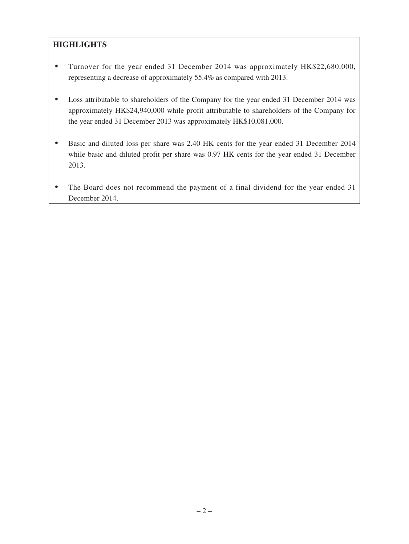# **HIGHLIGHTS**

- ‧ Turnover for the year ended 31 December 2014 was approximately HK\$22,680,000, representing a decrease of approximately 55.4% as compared with 2013.
- ‧ Loss attributable to shareholders of the Company for the year ended 31 December 2014 was approximately HK\$24,940,000 while profit attributable to shareholders of the Company for the year ended 31 December 2013 was approximately HK\$10,081,000.
- ‧ Basic and diluted loss per share was 2.40 HK cents for the year ended 31 December 2014 while basic and diluted profit per share was 0.97 HK cents for the year ended 31 December 2013.
- The Board does not recommend the payment of a final dividend for the year ended 31 December 2014.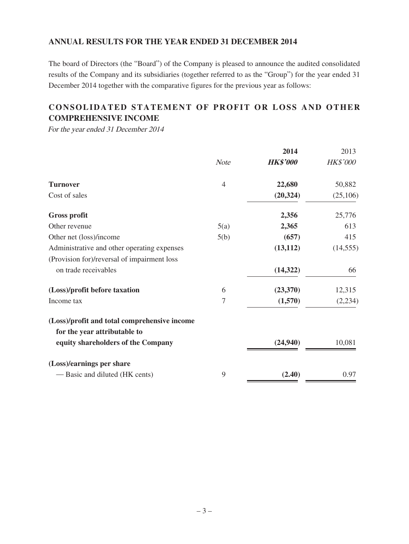### **ANNUAL RESULTS FOR THE YEAR ENDED 31 DECEMBER 2014**

The board of Directors (the "Board") of the Company is pleased to announce the audited consolidated results of the Company and its subsidiaries (together referred to as the "Group") for the year ended 31 December 2014 together with the comparative figures for the previous year as follows:

# **CONSOLIDATED STATEMENT OF PROFIT OR LOSS AND OTHER COMPREHENSIVE INCOME**

For the year ended 31 December 2014

|                                                                              |                | 2014            | 2013      |
|------------------------------------------------------------------------------|----------------|-----------------|-----------|
|                                                                              | <b>Note</b>    | <b>HK\$'000</b> | HK\$'000  |
| <b>Turnover</b>                                                              | $\overline{4}$ | 22,680          | 50,882    |
| Cost of sales                                                                |                | (20, 324)       | (25,106)  |
| <b>Gross profit</b>                                                          |                | 2,356           | 25,776    |
| Other revenue                                                                | 5(a)           | 2,365           | 613       |
| Other net (loss)/income                                                      | 5(b)           | (657)           | 415       |
| Administrative and other operating expenses                                  |                | (13, 112)       | (14, 555) |
| (Provision for)/reversal of impairment loss                                  |                |                 |           |
| on trade receivables                                                         |                | (14, 322)       | 66        |
| (Loss)/profit before taxation                                                | 6              | (23,370)        | 12,315    |
| Income tax                                                                   | $\overline{7}$ | (1,570)         | (2, 234)  |
| (Loss)/profit and total comprehensive income<br>for the year attributable to |                |                 |           |
| equity shareholders of the Company                                           |                | (24, 940)       | 10,081    |
| (Loss)/earnings per share                                                    |                |                 |           |
| — Basic and diluted (HK cents)                                               | 9              | (2.40)          | 0.97      |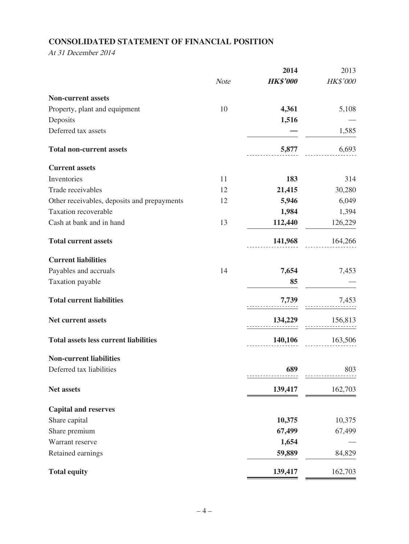# **CONSOLIDATED STATEMENT OF FINANCIAL POSITION**

At 31 December 2014

|                                              |             | 2014                | 2013            |
|----------------------------------------------|-------------|---------------------|-----------------|
|                                              | <b>Note</b> | <b>HK\$'000</b>     | HK\$'000        |
| <b>Non-current assets</b>                    |             |                     |                 |
| Property, plant and equipment                | 10          | 4,361               | 5,108           |
| Deposits                                     |             | 1,516               |                 |
| Deferred tax assets                          |             |                     | 1,585           |
| <b>Total non-current assets</b>              |             | 5,877               | 6,693           |
| <b>Current assets</b>                        |             |                     |                 |
| Inventories                                  | 11          | 183                 | 314             |
| Trade receivables                            | 12          | 21,415              | 30,280          |
| Other receivables, deposits and prepayments  | 12          | 5,946               | 6,049           |
| Taxation recoverable                         |             | 1,984               | 1,394           |
| Cash at bank and in hand                     | 13          | 112,440             | 126,229         |
| <b>Total current assets</b>                  |             |                     | 141,968 164,266 |
| <b>Current liabilities</b>                   |             |                     |                 |
| Payables and accruals                        | 14          | 7,654               | 7,453           |
| Taxation payable                             |             | 85                  |                 |
| <b>Total current liabilities</b>             |             | 7,739               | 7,453           |
| <b>Net current assets</b>                    |             | $134,229$ $156,813$ |                 |
| <b>Total assets less current liabilities</b> |             |                     | 140,106 163,506 |
| <b>Non-current liabilities</b>               |             |                     |                 |
| Deferred tax liabilities                     |             | 689                 | 803             |
| Net assets                                   |             | 139,417             | 162,703         |
| <b>Capital and reserves</b>                  |             |                     |                 |
| Share capital                                |             | 10,375              | 10,375          |
| Share premium                                |             | 67,499              | 67,499          |
| Warrant reserve                              |             | 1,654               |                 |
| Retained earnings                            |             | 59,889              | 84,829          |
| <b>Total equity</b>                          |             | 139,417             | 162,703         |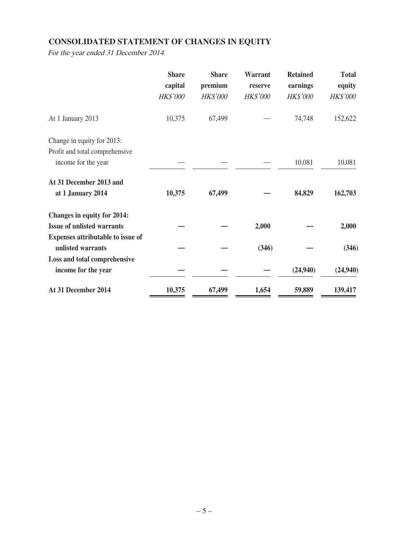# **CONSOLIDATED STATEMENT OF CHANGES IN EQUITY**

For the year ended 31 December 2014

|                                    | <b>Share</b><br>capital<br><b>HK\$'000</b> | <b>Share</b><br>premium<br><b>HK\$'000</b> | <b>Warrant</b><br>reserve<br><b>HK\$'000</b> | <b>Retained</b><br>earnings<br><b>HK\$'000</b> | <b>Total</b><br>equity<br><b>HK\$'000</b> |
|------------------------------------|--------------------------------------------|--------------------------------------------|----------------------------------------------|------------------------------------------------|-------------------------------------------|
| At 1 January 2013                  | 10,375                                     | 67,499                                     |                                              | 74,748                                         | 152,622                                   |
| Change in equity for 2013:         |                                            |                                            |                                              |                                                |                                           |
| Profit and total comprehensive     |                                            |                                            |                                              |                                                |                                           |
| income for the year                |                                            |                                            |                                              | 10,081                                         | 10,081                                    |
| At 31 December 2013 and            |                                            |                                            |                                              |                                                |                                           |
| at 1 January 2014                  | 10,375                                     | 67,499                                     |                                              | 84,829                                         | 162,703                                   |
| <b>Changes in equity for 2014:</b> |                                            |                                            |                                              |                                                |                                           |
| <b>Issue of unlisted warrants</b>  |                                            |                                            | 2,000                                        |                                                | 2,000                                     |
| Expenses attributable to issue of  |                                            |                                            |                                              |                                                |                                           |
| unlisted warrants                  |                                            |                                            | (346)                                        |                                                | (346)                                     |
| Loss and total comprehensive       |                                            |                                            |                                              |                                                |                                           |
| income for the year                |                                            |                                            |                                              | (24,940)                                       | (24,940)                                  |
| At 31 December 2014                | 10,375                                     | 67,499                                     | 1,654                                        | 59,889                                         | 139,417                                   |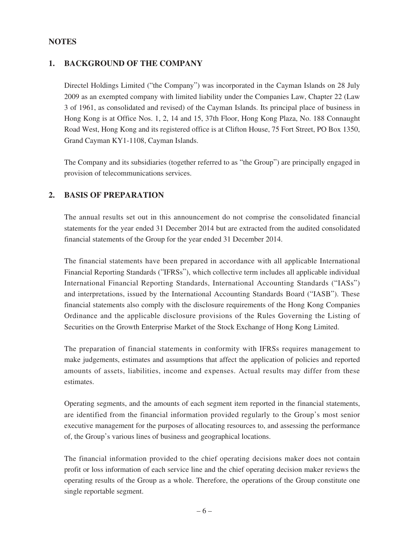### **NOTES**

### **1. BACKGROUND OF THE COMPANY**

Directel Holdings Limited ("the Company") was incorporated in the Cayman Islands on 28 July 2009 as an exempted company with limited liability under the Companies Law, Chapter 22 (Law 3 of 1961, as consolidated and revised) of the Cayman Islands. Its principal place of business in Hong Kong is at Office Nos. 1, 2, 14 and 15, 37th Floor, Hong Kong Plaza, No. 188 Connaught Road West, Hong Kong and its registered office is at Clifton House, 75 Fort Street, PO Box 1350, Grand Cayman KY1-1108, Cayman Islands.

The Company and its subsidiaries (together referred to as "the Group") are principally engaged in provision of telecommunications services.

### **2. BASIS OF PREPARATION**

The annual results set out in this announcement do not comprise the consolidated financial statements for the year ended 31 December 2014 but are extracted from the audited consolidated financial statements of the Group for the year ended 31 December 2014.

The financial statements have been prepared in accordance with all applicable International Financial Reporting Standards ("IFRSs"), which collective term includes all applicable individual International Financial Reporting Standards, International Accounting Standards ("IASs") and interpretations, issued by the International Accounting Standards Board ("IASB"). These financial statements also comply with the disclosure requirements of the Hong Kong Companies Ordinance and the applicable disclosure provisions of the Rules Governing the Listing of Securities on the Growth Enterprise Market of the Stock Exchange of Hong Kong Limited.

The preparation of financial statements in conformity with IFRSs requires management to make judgements, estimates and assumptions that affect the application of policies and reported amounts of assets, liabilities, income and expenses. Actual results may differ from these estimates.

Operating segments, and the amounts of each segment item reported in the financial statements, are identified from the financial information provided regularly to the Group's most senior executive management for the purposes of allocating resources to, and assessing the performance of, the Group's various lines of business and geographical locations.

The financial information provided to the chief operating decisions maker does not contain profit or loss information of each service line and the chief operating decision maker reviews the operating results of the Group as a whole. Therefore, the operations of the Group constitute one single reportable segment.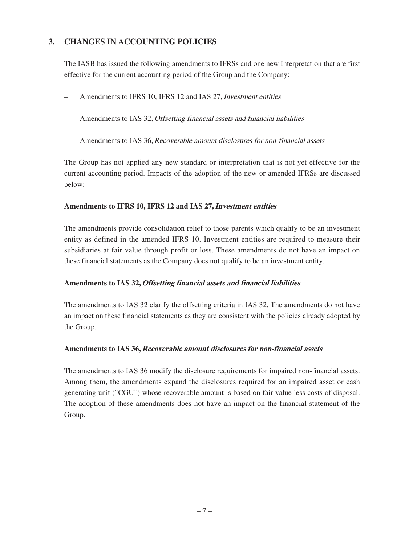# **3. CHANGES IN ACCOUNTING POLICIES**

The IASB has issued the following amendments to IFRSs and one new Interpretation that are first effective for the current accounting period of the Group and the Company:

- Amendments to IFRS 10, IFRS 12 and IAS 27, Investment entities
- Amendments to IAS 32, Offsetting financial assets and financial liabilities
- Amendments to IAS 36, Recoverable amount disclosures for non-financial assets

The Group has not applied any new standard or interpretation that is not yet effective for the current accounting period. Impacts of the adoption of the new or amended IFRSs are discussed below:

#### **Amendments to IFRS 10, IFRS 12 and IAS 27,Investment entities**

The amendments provide consolidation relief to those parents which qualify to be an investment entity as defined in the amended IFRS 10. Investment entities are required to measure their subsidiaries at fair value through profit or loss. These amendments do not have an impact on these financial statements as the Company does not qualify to be an investment entity.

#### **Amendments to IAS 32,Offsetting financial assets and financial liabilities**

The amendments to IAS 32 clarify the offsetting criteria in IAS 32. The amendments do not have an impact on these financial statements as they are consistent with the policies already adopted by the Group.

#### **Amendments to IAS 36, Recoverable amount disclosures for non-financial assets**

The amendments to IAS 36 modify the disclosure requirements for impaired non-financial assets. Among them, the amendments expand the disclosures required for an impaired asset or cash generating unit ("CGU") whose recoverable amount is based on fair value less costs of disposal. The adoption of these amendments does not have an impact on the financial statement of the Group.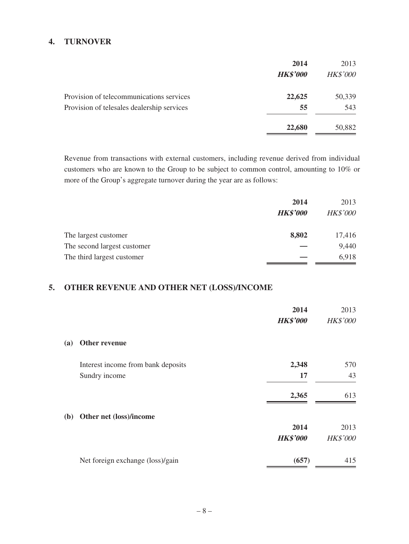### **4. TURNOVER**

|                                            | 2014            | 2013            |
|--------------------------------------------|-----------------|-----------------|
|                                            | <b>HK\$'000</b> | <b>HK\$'000</b> |
| Provision of telecommunications services   | 22,625          | 50,339          |
| Provision of telesales dealership services | 55              | 543             |
|                                            | 22,680          | 50,882          |

Revenue from transactions with external customers, including revenue derived from individual customers who are known to the Group to be subject to common control, amounting to 10% or more of the Group's aggregate turnover during the year are as follows:

|                             | 2014            | 2013            |
|-----------------------------|-----------------|-----------------|
|                             | <b>HK\$'000</b> | <b>HK\$'000</b> |
| The largest customer        | 8,802           | 17,416          |
| The second largest customer |                 | 9,440           |
| The third largest customer  |                 | 6,918           |

### **5. OTHER REVENUE AND OTHER NET (LOSS)/INCOME**

|            |                                    | 2014<br><b>HK\$'000</b> | 2013<br><b>HK\$'000</b> |
|------------|------------------------------------|-------------------------|-------------------------|
| <b>(a)</b> | Other revenue                      |                         |                         |
|            | Interest income from bank deposits | 2,348                   | 570                     |
|            | Sundry income                      | 17                      | 43                      |
|            |                                    | 2,365                   | 613                     |
| (b)        | Other net (loss)/income            |                         |                         |
|            |                                    | 2014                    | 2013                    |
|            |                                    | <b>HK\$'000</b>         | <b>HK\$'000</b>         |
|            | Net foreign exchange (loss)/gain   | (657)                   | 415                     |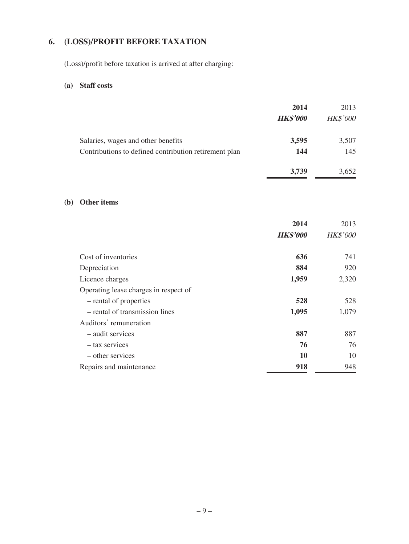# **6. (LOSS)/PROFIT BEFORE TAXATION**

(Loss)/profit before taxation is arrived at after charging:

## **(a) Staff costs**

|                                                       | 2014<br><b>HK\$'000</b> | 2013<br><b>HK\$'000</b> |
|-------------------------------------------------------|-------------------------|-------------------------|
| Salaries, wages and other benefits                    | 3,595                   | 3,507                   |
| Contributions to defined contribution retirement plan | 144                     | 145                     |
|                                                       | 3,739                   | 3,652                   |

### **(b) Other items**

|                                       | 2014            | 2013            |
|---------------------------------------|-----------------|-----------------|
|                                       | <b>HK\$'000</b> | <b>HK\$'000</b> |
|                                       |                 |                 |
| Cost of inventories                   | 636             | 741             |
| Depreciation                          | 884             | 920             |
| Licence charges                       | 1,959           | 2,320           |
| Operating lease charges in respect of |                 |                 |
| – rental of properties                | 528             | 528             |
| - rental of transmission lines        | 1,095           | 1,079           |
| Auditors' remuneration                |                 |                 |
| - audit services                      | 887             | 887             |
| - tax services                        | 76              | 76              |
| – other services                      | 10              | 10              |
| Repairs and maintenance               | 918             | 948             |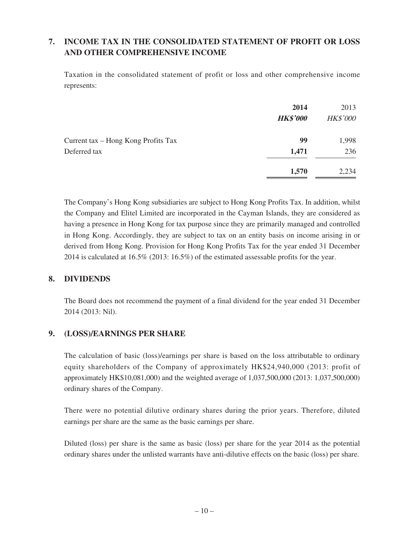# **7. INCOME TAX IN THE CONSOLIDATED STATEMENT OF PROFIT OR LOSS AND OTHER COMPREHENSIVE INCOME**

Taxation in the consolidated statement of profit or loss and other comprehensive income represents:

|                                     | 2014<br><b>HK\$'000</b> | 2013<br><b>HK\$'000</b> |
|-------------------------------------|-------------------------|-------------------------|
| Current tax – Hong Kong Profits Tax | 99                      | 1,998                   |
| Deferred tax                        | 1,471                   | 236                     |
|                                     | 1,570                   | 2,234                   |

The Company's Hong Kong subsidiaries are subject to Hong Kong Profits Tax. In addition, whilst the Company and Elitel Limited are incorporated in the Cayman Islands, they are considered as having a presence in Hong Kong for tax purpose since they are primarily managed and controlled in Hong Kong. Accordingly, they are subject to tax on an entity basis on income arising in or derived from Hong Kong. Provision for Hong Kong Profits Tax for the year ended 31 December 2014 is calculated at 16.5% (2013: 16.5%) of the estimated assessable profits for the year.

### **8. DIVIDENDS**

The Board does not recommend the payment of a final dividend for the year ended 31 December 2014 (2013: Nil).

### **9. (LOSS)/EARNINGS PER SHARE**

The calculation of basic (loss)/earnings per share is based on the loss attributable to ordinary equity shareholders of the Company of approximately HK\$24,940,000 (2013: profit of approximately HK\$10,081,000) and the weighted average of 1,037,500,000 (2013: 1,037,500,000) ordinary shares of the Company.

There were no potential dilutive ordinary shares during the prior years. Therefore, diluted earnings per share are the same as the basic earnings per share.

Diluted (loss) per share is the same as basic (loss) per share for the year 2014 as the potential ordinary shares under the unlisted warrants have anti-dilutive effects on the basic (loss) per share.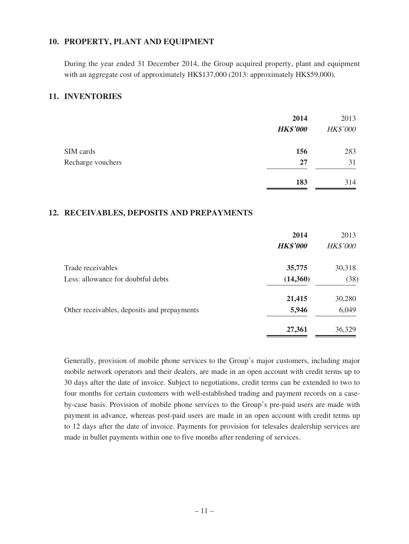### **10. PROPERTY, PLANT AND EQUIPMENT**

During the year ended 31 December 2014, the Group acquired property, plant and equipment with an aggregate cost of approximately HK\$137,000 (2013: approximately HK\$59,000).

### **11. INVENTORIES**

|                   | 2014<br><b>HK\$'000</b> | 2013<br><b>HK\$'000</b> |
|-------------------|-------------------------|-------------------------|
| SIM cards         | 156                     | 283                     |
| Recharge vouchers | 27                      | 31                      |
|                   | 183                     | 314                     |

### **12. RECEIVABLES, DEPOSITS AND PREPAYMENTS**

|                                             | 2014<br><b>HK\$'000</b> | 2013<br><b>HK\$'000</b> |
|---------------------------------------------|-------------------------|-------------------------|
| Trade receivables                           | 35,775                  | 30,318                  |
| Less: allowance for doubtful debts          | (14,360)                | (38)                    |
|                                             | 21,415                  | 30,280                  |
| Other receivables, deposits and prepayments | 5,946                   | 6,049                   |
|                                             | 27,361                  | 36,329                  |

Generally, provision of mobile phone services to the Group's major customers, including major mobile network operators and their dealers, are made in an open account with credit terms up to 30 days after the date of invoice. Subject to negotiations, credit terms can be extended to two to four months for certain customers with well-established trading and payment records on a caseby-case basis. Provision of mobile phone services to the Group's pre-paid users are made with payment in advance, whereas post-paid users are made in an open account with credit terms up to 12 days after the date of invoice. Payments for provision for telesales dealership services are made in bullet payments within one to five months after rendering of services.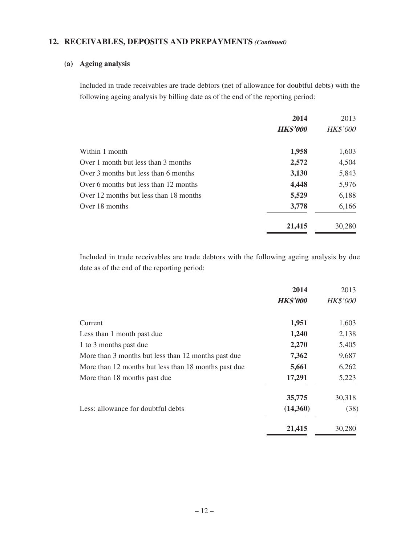### **12. RECEIVABLES, DEPOSITS AND PREPAYMENTS (Continued)**

#### **(a) Ageing analysis**

Included in trade receivables are trade debtors (net of allowance for doubtful debts) with the following ageing analysis by billing date as of the end of the reporting period:

|                                        | 2014            | 2013            |
|----------------------------------------|-----------------|-----------------|
|                                        | <b>HK\$'000</b> | <b>HK\$'000</b> |
| Within 1 month                         | 1,958           | 1,603           |
| Over 1 month but less than 3 months    | 2,572           | 4,504           |
| Over 3 months but less than 6 months   | 3,130           | 5,843           |
| Over 6 months but less than 12 months  | 4,448           | 5,976           |
| Over 12 months but less than 18 months | 5,529           | 6,188           |
| Over 18 months                         | 3,778           | 6,166           |
|                                        | 21,415          | 30,280          |

Included in trade receivables are trade debtors with the following ageing analysis by due date as of the end of the reporting period:

|                                                      | 2014            | 2013            |
|------------------------------------------------------|-----------------|-----------------|
|                                                      | <b>HK\$'000</b> | <b>HK\$'000</b> |
| Current                                              | 1,951           | 1,603           |
| Less than 1 month past due                           | 1,240           | 2,138           |
| 1 to 3 months past due                               | 2,270           | 5,405           |
| More than 3 months but less than 12 months past due  | 7,362           | 9,687           |
| More than 12 months but less than 18 months past due | 5,661           | 6,262           |
| More than 18 months past due                         | 17,291          | 5,223           |
|                                                      | 35,775          | 30,318          |
| Less: allowance for doubtful debts                   | (14,360)        | (38)            |
|                                                      | 21,415          | 30,280          |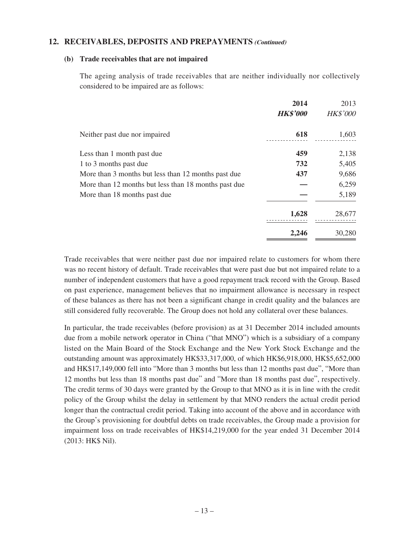### **12. RECEIVABLES, DEPOSITS AND PREPAYMENTS (Continued)**

#### **(b) Trade receivables that are not impaired**

The ageing analysis of trade receivables that are neither individually nor collectively considered to be impaired are as follows:

|                                                      | 2014            | 2013            |
|------------------------------------------------------|-----------------|-----------------|
|                                                      | <b>HK\$'000</b> | <b>HK\$'000</b> |
| Neither past due nor impaired                        | 618             | 1,603           |
| Less than 1 month past due                           | 459             | 2,138           |
| 1 to 3 months past due                               | 732             | 5,405           |
| More than 3 months but less than 12 months past due  | 437             | 9,686           |
| More than 12 months but less than 18 months past due |                 | 6,259           |
| More than 18 months past due                         |                 | 5,189           |
|                                                      | 1,628           | 28,677          |
|                                                      | 2,246           | 30,280          |

Trade receivables that were neither past due nor impaired relate to customers for whom there was no recent history of default. Trade receivables that were past due but not impaired relate to a number of independent customers that have a good repayment track record with the Group. Based on past experience, management believes that no impairment allowance is necessary in respect of these balances as there has not been a significant change in credit quality and the balances are still considered fully recoverable. The Group does not hold any collateral over these balances.

In particular, the trade receivables (before provision) as at 31 December 2014 included amounts due from a mobile network operator in China ("that MNO") which is a subsidiary of a company listed on the Main Board of the Stock Exchange and the New York Stock Exchange and the outstanding amount was approximately HK\$33,317,000, of which HK\$6,918,000, HK\$5,652,000 and HK\$17,149,000 fell into "More than 3 months but less than 12 months past due", "More than 12 months but less than 18 months past due" and "More than 18 months past due", respectively. The credit terms of 30 days were granted by the Group to that MNO as it is in line with the credit policy of the Group whilst the delay in settlement by that MNO renders the actual credit period longer than the contractual credit period. Taking into account of the above and in accordance with the Group's provisioning for doubtful debts on trade receivables, the Group made a provision for impairment loss on trade receivables of HK\$14,219,000 for the year ended 31 December 2014 (2013: HK\$ Nil).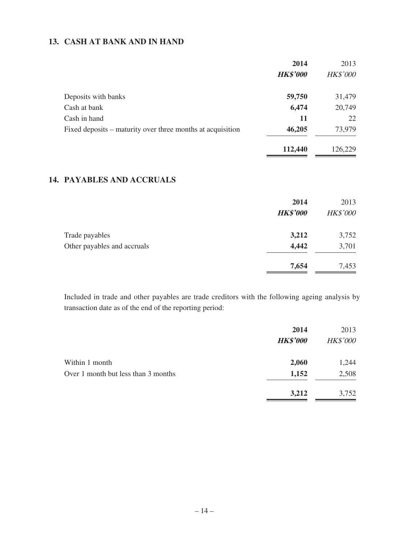### **13. CASH AT BANK AND IN HAND**

|                                                            | 2014            | 2013            |
|------------------------------------------------------------|-----------------|-----------------|
|                                                            | <b>HK\$'000</b> | <b>HK\$'000</b> |
| Deposits with banks                                        | 59,750          | 31,479          |
| Cash at bank                                               | 6,474           | 20,749          |
| Cash in hand                                               | 11              | 22              |
| Fixed deposits – maturity over three months at acquisition | 46,205          | 73,979          |
|                                                            | 112,440         | 126,229         |

# **14. PAYABLES AND ACCRUALS**

|                             | 2014<br><b>HK\$'000</b> | 2013<br><b>HK\$'000</b> |
|-----------------------------|-------------------------|-------------------------|
| Trade payables              | 3,212                   | 3,752                   |
| Other payables and accruals | 4,442                   | 3,701                   |
|                             | 7,654                   | 7,453                   |

Included in trade and other payables are trade creditors with the following ageing analysis by transaction date as of the end of the reporting period:

|                                     | 2014            | 2013            |
|-------------------------------------|-----------------|-----------------|
|                                     | <b>HK\$'000</b> | <b>HK\$'000</b> |
| Within 1 month                      | 2,060           | 1,244           |
| Over 1 month but less than 3 months | 1,152           | 2,508           |
|                                     | 3,212           | 3,752           |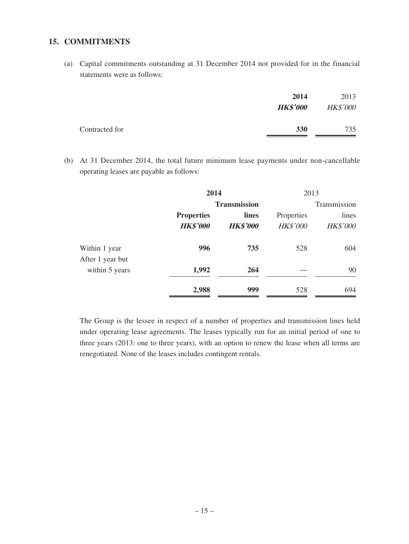#### **15. COMMITMENTS**

(a) Capital commitments outstanding at 31 December 2014 not provided for in the financial statements were as follows:

|                | 2014<br><b>HK\$'000</b> | 2013<br><b>HK\$'000</b> |
|----------------|-------------------------|-------------------------|
| Contracted for | <b>330</b>              | 735                     |

(b) At 31 December 2014, the total future minimum lease payments under non-cancellable operating leases are payable as follows:

|                                   | 2014<br><b>Transmission</b>          |                          | 2013                          |                          |
|-----------------------------------|--------------------------------------|--------------------------|-------------------------------|--------------------------|
|                                   |                                      |                          |                               | Transmission             |
|                                   | <b>Properties</b><br><b>HK\$'000</b> | lines<br><b>HK\$'000</b> | Properties<br><b>HK\$'000</b> | lines<br><b>HK\$'000</b> |
| Within 1 year<br>After 1 year but | 996                                  | 735                      | 528                           | 604                      |
| within 5 years                    | 1,992                                | 264                      |                               | 90                       |
|                                   | 2,988                                | 999                      | 528                           | 694                      |

The Group is the lessee in respect of a number of properties and transmission lines held under operating lease agreements. The leases typically run for an initial period of one to three years (2013: one to three years), with an option to renew the lease when all terms are renegotiated. None of the leases includes contingent rentals.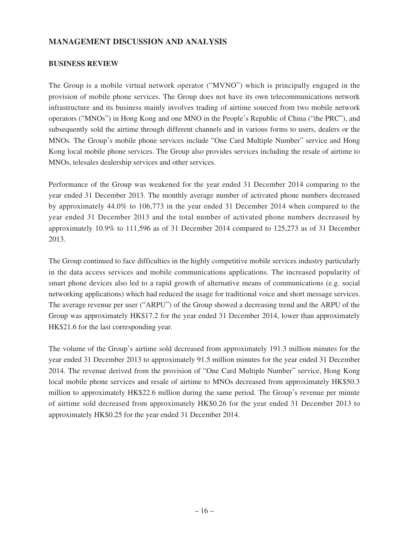### **MANAGEMENT DISCUSSION AND ANALYSIS**

#### **BUSINESS REVIEW**

The Group is a mobile virtual network operator ("MVNO") which is principally engaged in the provision of mobile phone services. The Group does not have its own telecommunications network infrastructure and its business mainly involves trading of airtime sourced from two mobile network operators ("MNOs") in Hong Kong and one MNO in the People's Republic of China ("the PRC"), and subsequently sold the airtime through different channels and in various forms to users, dealers or the MNOs. The Group's mobile phone services include "One Card Multiple Number" service and Hong Kong local mobile phone services. The Group also provides services including the resale of airtime to MNOs, telesales dealership services and other services.

Performance of the Group was weakened for the year ended 31 December 2014 comparing to the year ended 31 December 2013. The monthly average number of activated phone numbers decreased by approximately 44.0% to 106,773 in the year ended 31 December 2014 when compared to the year ended 31 December 2013 and the total number of activated phone numbers decreased by approximately 10.9% to 111,596 as of 31 December 2014 compared to 125,273 as of 31 December 2013.

The Group continued to face difficulties in the highly competitive mobile services industry particularly in the data access services and mobile communications applications. The increased popularity of smart phone devices also led to a rapid growth of alternative means of communications (e.g. social networking applications) which had reduced the usage for traditional voice and short message services. The average revenue per user ("ARPU") of the Group showed a decreasing trend and the ARPU of the Group was approximately HK\$17.2 for the year ended 31 December 2014, lower than approximately HK\$21.6 for the last corresponding year.

The volume of the Group's airtime sold decreased from approximately 191.3 million minutes for the year ended 31 December 2013 to approximately 91.5 million minutes for the year ended 31 December 2014. The revenue derived from the provision of "One Card Multiple Number" service, Hong Kong local mobile phone services and resale of airtime to MNOs decreased from approximately HK\$50.3 million to approximately HK\$22.6 million during the same period. The Group's revenue per minute of airtime sold decreased from approximately HK\$0.26 for the year ended 31 December 2013 to approximately HK\$0.25 for the year ended 31 December 2014.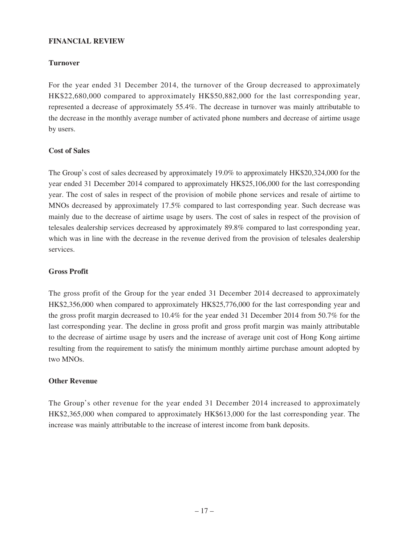#### **FINANCIAL REVIEW**

#### **Turnover**

For the year ended 31 December 2014, the turnover of the Group decreased to approximately HK\$22,680,000 compared to approximately HK\$50,882,000 for the last corresponding year, represented a decrease of approximately 55.4%. The decrease in turnover was mainly attributable to the decrease in the monthly average number of activated phone numbers and decrease of airtime usage by users.

#### **Cost of Sales**

The Group's cost of sales decreased by approximately 19.0% to approximately HK\$20,324,000 for the year ended 31 December 2014 compared to approximately HK\$25,106,000 for the last corresponding year. The cost of sales in respect of the provision of mobile phone services and resale of airtime to MNOs decreased by approximately 17.5% compared to last corresponding year. Such decrease was mainly due to the decrease of airtime usage by users. The cost of sales in respect of the provision of telesales dealership services decreased by approximately 89.8% compared to last corresponding year, which was in line with the decrease in the revenue derived from the provision of telesales dealership services.

#### **Gross Profit**

The gross profit of the Group for the year ended 31 December 2014 decreased to approximately HK\$2,356,000 when compared to approximately HK\$25,776,000 for the last corresponding year and the gross profit margin decreased to 10.4% for the year ended 31 December 2014 from 50.7% for the last corresponding year. The decline in gross profit and gross profit margin was mainly attributable to the decrease of airtime usage by users and the increase of average unit cost of Hong Kong airtime resulting from the requirement to satisfy the minimum monthly airtime purchase amount adopted by two MNOs.

#### **Other Revenue**

The Group's other revenue for the year ended 31 December 2014 increased to approximately HK\$2,365,000 when compared to approximately HK\$613,000 for the last corresponding year. The increase was mainly attributable to the increase of interest income from bank deposits.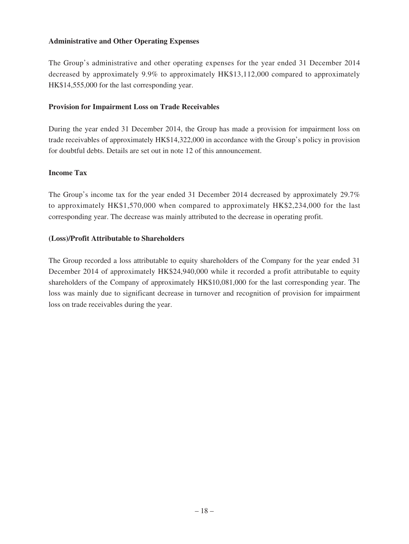#### **Administrative and Other Operating Expenses**

The Group's administrative and other operating expenses for the year ended 31 December 2014 decreased by approximately 9.9% to approximately HK\$13,112,000 compared to approximately HK\$14,555,000 for the last corresponding year.

#### **Provision for Impairment Loss on Trade Receivables**

During the year ended 31 December 2014, the Group has made a provision for impairment loss on trade receivables of approximately HK\$14,322,000 in accordance with the Group's policy in provision for doubtful debts. Details are set out in note 12 of this announcement.

#### **Income Tax**

The Group's income tax for the year ended 31 December 2014 decreased by approximately 29.7% to approximately HK\$1,570,000 when compared to approximately HK\$2,234,000 for the last corresponding year. The decrease was mainly attributed to the decrease in operating profit.

#### **(Loss)/Profit Attributable to Shareholders**

The Group recorded a loss attributable to equity shareholders of the Company for the year ended 31 December 2014 of approximately HK\$24,940,000 while it recorded a profit attributable to equity shareholders of the Company of approximately HK\$10,081,000 for the last corresponding year. The loss was mainly due to significant decrease in turnover and recognition of provision for impairment loss on trade receivables during the year.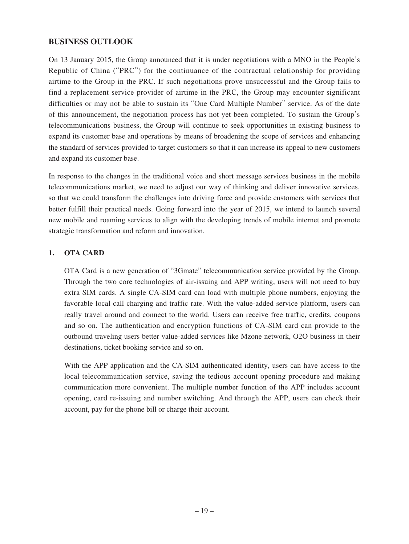### **BUSINESS OUTLOOK**

On 13 January 2015, the Group announced that it is under negotiations with a MNO in the People's Republic of China ("PRC") for the continuance of the contractual relationship for providing airtime to the Group in the PRC. If such negotiations prove unsuccessful and the Group fails to find a replacement service provider of airtime in the PRC, the Group may encounter significant difficulties or may not be able to sustain its "One Card Multiple Number" service. As of the date of this announcement, the negotiation process has not yet been completed. To sustain the Group's telecommunications business, the Group will continue to seek opportunities in existing business to expand its customer base and operations by means of broadening the scope of services and enhancing the standard of services provided to target customers so that it can increase its appeal to new customers and expand its customer base.

In response to the changes in the traditional voice and short message services business in the mobile telecommunications market, we need to adjust our way of thinking and deliver innovative services, so that we could transform the challenges into driving force and provide customers with services that better fulfill their practical needs. Going forward into the year of 2015, we intend to launch several new mobile and roaming services to align with the developing trends of mobile internet and promote strategic transformation and reform and innovation.

### **1. OTA CARD**

OTA Card is a new generation of "3Gmate" telecommunication service provided by the Group. Through the two core technologies of air-issuing and APP writing, users will not need to buy extra SIM cards. A single CA-SIM card can load with multiple phone numbers, enjoying the favorable local call charging and traffic rate. With the value-added service platform, users can really travel around and connect to the world. Users can receive free traffic, credits, coupons and so on. The authentication and encryption functions of CA-SIM card can provide to the outbound traveling users better value-added services like Mzone network, O2O business in their destinations, ticket booking service and so on.

With the APP application and the CA-SIM authenticated identity, users can have access to the local telecommunication service, saving the tedious account opening procedure and making communication more convenient. The multiple number function of the APP includes account opening, card re-issuing and number switching. And through the APP, users can check their account, pay for the phone bill or charge their account.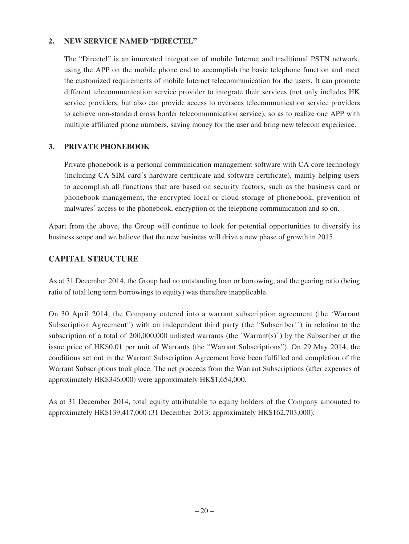### **2. NEW SERVICE NAMED "DIRECTEL"**

The "Directel" is an innovated integration of mobile Internet and traditional PSTN network, using the APP on the mobile phone end to accomplish the basic telephone function and meet the customized requirements of mobile Internet telecommunication for the users. It can promote different telecommunication service provider to integrate their services (not only includes HK service providers, but also can provide access to overseas telecommunication service providers to achieve non-standard cross border telecommunication service), so as to realize one APP with multiple affiliated phone numbers, saving money for the user and bring new telecom experience.

### **3. PRIVATE PHONEBOOK**

Private phonebook is a personal communication management software with CA core technology (including CA-SIM card's hardware certificate and software certificate), mainly helping users to accomplish all functions that are based on security factors, such as the business card or phonebook management, the encrypted local or cloud storage of phonebook, prevention of malwares' access to the phonebook, encryption of the telephone communication and so on.

Apart from the above, the Group will continue to look for potential opportunities to diversify its business scope and we believe that the new business will drive a new phase of growth in 2015.

# **CAPITAL STRUCTURE**

As at 31 December 2014, the Group had no outstanding loan or borrowing, and the gearing ratio (being ratio of total long term borrowings to equity) was therefore inapplicable.

On 30 April 2014, the Company entered into a warrant subscription agreement (the 'Warrant Subscription Agreement") with an independent third party (the "Subscriber'') in relation to the subscription of a total of 200,000,000 unlisted warrants (the 'Warrant(s)") by the Subscriber at the issue price of HK\$0.01 per unit of Warrants (the "Warrant Subscriptions"). On 29 May 2014, the conditions set out in the Warrant Subscription Agreement have been fulfilled and completion of the Warrant Subscriptions took place. The net proceeds from the Warrant Subscriptions (after expenses of approximately HK\$346,000) were approximately HK\$1,654,000.

As at 31 December 2014, total equity attributable to equity holders of the Company amounted to approximately HK\$139,417,000 (31 December 2013: approximately HK\$162,703,000).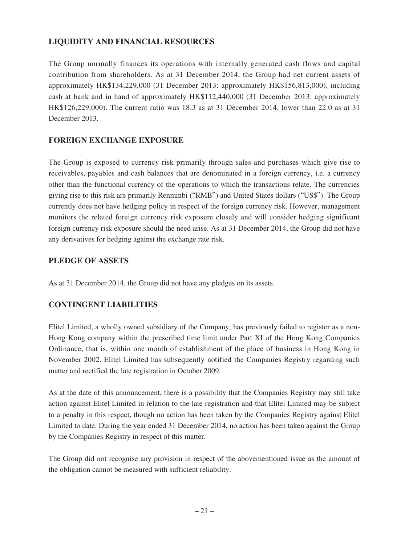# **LIQUIDITY AND FINANCIAL RESOURCES**

The Group normally finances its operations with internally generated cash flows and capital contribution from shareholders. As at 31 December 2014, the Group had net current assets of approximately HK\$134,229,000 (31 December 2013: approximately HK\$156,813,000), including cash at bank and in hand of approximately HK\$112,440,000 (31 December 2013: approximately HK\$126,229,000). The current ratio was 18.3 as at 31 December 2014, lower than 22.0 as at 31 December 2013.

## **FOREIGN EXCHANGE EXPOSURE**

The Group is exposed to currency risk primarily through sales and purchases which give rise to receivables, payables and cash balances that are denominated in a foreign currency, i.e. a currency other than the functional currency of the operations to which the transactions relate. The currencies giving rise to this risk are primarily Renminbi ("RMB") and United States dollars ("US\$"). The Group currently does not have hedging policy in respect of the foreign currency risk. However, management monitors the related foreign currency risk exposure closely and will consider hedging significant foreign currency risk exposure should the need arise. As at 31 December 2014, the Group did not have any derivatives for hedging against the exchange rate risk.

### **PLEDGE OF ASSETS**

As at 31 December 2014, the Group did not have any pledges on its assets.

# **CONTINGENT LIABILITIES**

Elitel Limited, a wholly owned subsidiary of the Company, has previously failed to register as a non-Hong Kong company within the prescribed time limit under Part XI of the Hong Kong Companies Ordinance, that is, within one month of establishment of the place of business in Hong Kong in November 2002. Elitel Limited has subsequently notified the Companies Registry regarding such matter and rectified the late registration in October 2009.

As at the date of this announcement, there is a possibility that the Companies Registry may still take action against Elitel Limited in relation to the late registration and that Elitel Limited may be subject to a penalty in this respect, though no action has been taken by the Companies Registry against Elitel Limited to date. During the year ended 31 December 2014, no action has been taken against the Group by the Companies Registry in respect of this matter.

The Group did not recognise any provision in respect of the abovementioned issue as the amount of the obligation cannot be measured with sufficient reliability.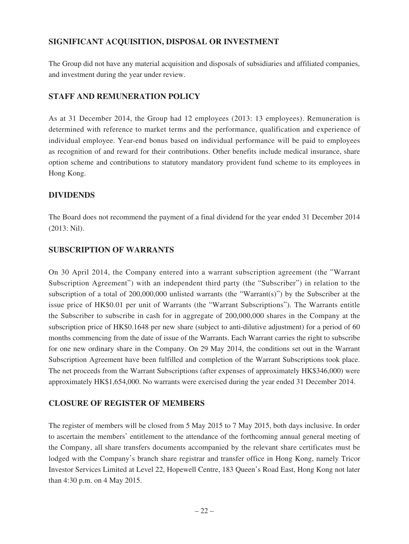## **SIGNIFICANT ACQUISITION, DISPOSAL OR INVESTMENT**

The Group did not have any material acquisition and disposals of subsidiaries and affiliated companies, and investment during the year under review.

### **STAFF AND REMUNERATION POLICY**

As at 31 December 2014, the Group had 12 employees (2013: 13 employees). Remuneration is determined with reference to market terms and the performance, qualification and experience of individual employee. Year-end bonus based on individual performance will be paid to employees as recognition of and reward for their contributions. Other benefits include medical insurance, share option scheme and contributions to statutory mandatory provident fund scheme to its employees in Hong Kong.

### **DIVIDENDS**

The Board does not recommend the payment of a final dividend for the year ended 31 December 2014 (2013: Nil).

## **SUBSCRIPTION OF WARRANTS**

On 30 April 2014, the Company entered into a warrant subscription agreement (the "Warrant Subscription Agreement") with an independent third party (the "Subscriber") in relation to the subscription of a total of 200,000,000 unlisted warrants (the "Warrant(s)") by the Subscriber at the issue price of HK\$0.01 per unit of Warrants (the "Warrant Subscriptions"). The Warrants entitle the Subscriber to subscribe in cash for in aggregate of 200,000,000 shares in the Company at the subscription price of HK\$0.1648 per new share (subject to anti-dilutive adjustment) for a period of 60 months commencing from the date of issue of the Warrants. Each Warrant carries the right to subscribe for one new ordinary share in the Company. On 29 May 2014, the conditions set out in the Warrant Subscription Agreement have been fulfilled and completion of the Warrant Subscriptions took place. The net proceeds from the Warrant Subscriptions (after expenses of approximately HK\$346,000) were approximately HK\$1,654,000. No warrants were exercised during the year ended 31 December 2014.

# **CLOSURE OF REGISTER OF MEMBERS**

The register of members will be closed from 5 May 2015 to 7 May 2015, both days inclusive. In order to ascertain the members' entitlement to the attendance of the forthcoming annual general meeting of the Company, all share transfers documents accompanied by the relevant share certificates must be lodged with the Company's branch share registrar and transfer office in Hong Kong, namely Tricor Investor Services Limited at Level 22, Hopewell Centre, 183 Queen's Road East, Hong Kong not later than 4:30 p.m. on 4 May 2015.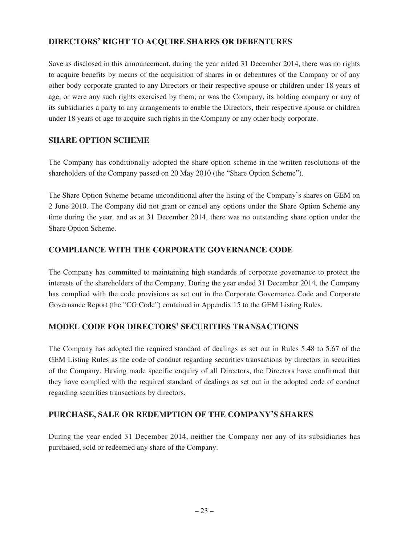# **DIRECTORS' RIGHT TO ACQUIRE SHARES OR DEBENTURES**

Save as disclosed in this announcement, during the year ended 31 December 2014, there was no rights to acquire benefits by means of the acquisition of shares in or debentures of the Company or of any other body corporate granted to any Directors or their respective spouse or children under 18 years of age, or were any such rights exercised by them; or was the Company, its holding company or any of its subsidiaries a party to any arrangements to enable the Directors, their respective spouse or children under 18 years of age to acquire such rights in the Company or any other body corporate.

### **SHARE OPTION SCHEME**

The Company has conditionally adopted the share option scheme in the written resolutions of the shareholders of the Company passed on 20 May 2010 (the "Share Option Scheme").

The Share Option Scheme became unconditional after the listing of the Company's shares on GEM on 2 June 2010. The Company did not grant or cancel any options under the Share Option Scheme any time during the year, and as at 31 December 2014, there was no outstanding share option under the Share Option Scheme.

### **COMPLIANCE WITH THE CORPORATE GOVERNANCE CODE**

The Company has committed to maintaining high standards of corporate governance to protect the interests of the shareholders of the Company. During the year ended 31 December 2014, the Company has complied with the code provisions as set out in the Corporate Governance Code and Corporate Governance Report (the "CG Code") contained in Appendix 15 to the GEM Listing Rules.

### **MODEL CODE FOR DIRECTORS' SECURITIES TRANSACTIONS**

The Company has adopted the required standard of dealings as set out in Rules 5.48 to 5.67 of the GEM Listing Rules as the code of conduct regarding securities transactions by directors in securities of the Company. Having made specific enquiry of all Directors, the Directors have confirmed that they have complied with the required standard of dealings as set out in the adopted code of conduct regarding securities transactions by directors.

### **PURCHASE, SALE OR REDEMPTION OF THE COMPANY'S SHARES**

During the year ended 31 December 2014, neither the Company nor any of its subsidiaries has purchased, sold or redeemed any share of the Company.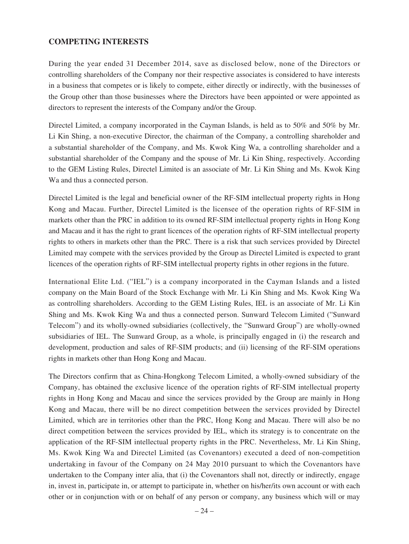### **COMPETING INTERESTS**

During the year ended 31 December 2014, save as disclosed below, none of the Directors or controlling shareholders of the Company nor their respective associates is considered to have interests in a business that competes or is likely to compete, either directly or indirectly, with the businesses of the Group other than those businesses where the Directors have been appointed or were appointed as directors to represent the interests of the Company and/or the Group.

Directel Limited, a company incorporated in the Cayman Islands, is held as to 50% and 50% by Mr. Li Kin Shing, a non-executive Director, the chairman of the Company, a controlling shareholder and a substantial shareholder of the Company, and Ms. Kwok King Wa, a controlling shareholder and a substantial shareholder of the Company and the spouse of Mr. Li Kin Shing, respectively. According to the GEM Listing Rules, Directel Limited is an associate of Mr. Li Kin Shing and Ms. Kwok King Wa and thus a connected person.

Directel Limited is the legal and beneficial owner of the RF-SIM intellectual property rights in Hong Kong and Macau. Further, Directel Limited is the licensee of the operation rights of RF-SIM in markets other than the PRC in addition to its owned RF-SIM intellectual property rights in Hong Kong and Macau and it has the right to grant licences of the operation rights of RF-SIM intellectual property rights to others in markets other than the PRC. There is a risk that such services provided by Directel Limited may compete with the services provided by the Group as Directel Limited is expected to grant licences of the operation rights of RF-SIM intellectual property rights in other regions in the future.

International Elite Ltd. ("IEL") is a company incorporated in the Cayman Islands and a listed company on the Main Board of the Stock Exchange with Mr. Li Kin Shing and Ms. Kwok King Wa as controlling shareholders. According to the GEM Listing Rules, IEL is an associate of Mr. Li Kin Shing and Ms. Kwok King Wa and thus a connected person. Sunward Telecom Limited ("Sunward Telecom") and its wholly-owned subsidiaries (collectively, the "Sunward Group") are wholly-owned subsidiaries of IEL. The Sunward Group, as a whole, is principally engaged in (i) the research and development, production and sales of RF-SIM products; and (ii) licensing of the RF-SIM operations rights in markets other than Hong Kong and Macau.

The Directors confirm that as China-Hongkong Telecom Limited, a wholly-owned subsidiary of the Company, has obtained the exclusive licence of the operation rights of RF-SIM intellectual property rights in Hong Kong and Macau and since the services provided by the Group are mainly in Hong Kong and Macau, there will be no direct competition between the services provided by Directel Limited, which are in territories other than the PRC, Hong Kong and Macau. There will also be no direct competition between the services provided by IEL, which its strategy is to concentrate on the application of the RF-SIM intellectual property rights in the PRC. Nevertheless, Mr. Li Kin Shing, Ms. Kwok King Wa and Directel Limited (as Covenantors) executed a deed of non-competition undertaking in favour of the Company on 24 May 2010 pursuant to which the Covenantors have undertaken to the Company inter alia, that (i) the Covenantors shall not, directly or indirectly, engage in, invest in, participate in, or attempt to participate in, whether on his/her/its own account or with each other or in conjunction with or on behalf of any person or company, any business which will or may